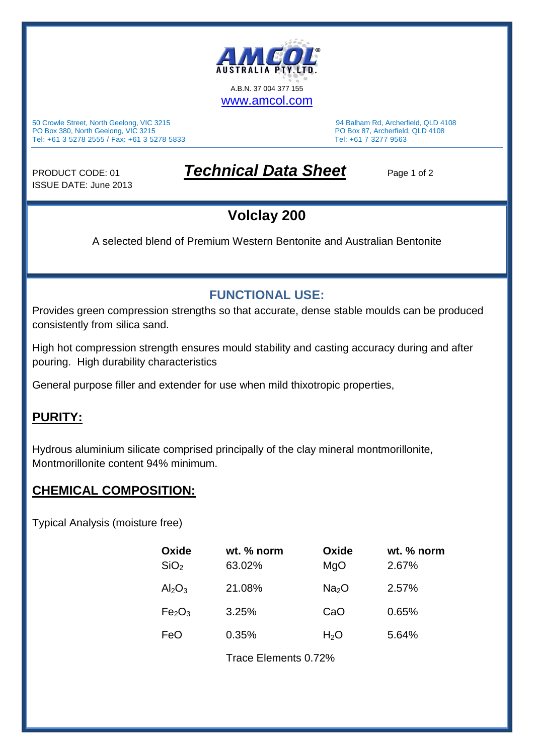

50 Crowle Street, North Geelong, VIC 3215 94 Balham Rd, Archerfield, QLD 4108 PO Box 380, North Geelong, VIC 3215 PO Box 87, Archerfield, QLD 4108 Tel: +61 3 5278 2555 / Fax: +61 3 5278 5833 Tel: +61 7 3277 9563

ISSUE DATE: June 2013

## PRODUCT CODE: 01 *Technical Data Sheet* Page 1 of 2

### **Volclay 200**

A selected blend of Premium Western Bentonite and Australian Bentonite

### **FUNCTIONAL USE:**

Provides green compression strengths so that accurate, dense stable moulds can be produced consistently from silica sand.

High hot compression strength ensures mould stability and casting accuracy during and after pouring. High durability characteristics

General purpose filler and extender for use when mild thixotropic properties,

#### **PURITY:**

Hydrous aluminium silicate comprised principally of the clay mineral montmorillonite, Montmorillonite content 94% minimum.

### **CHEMICAL COMPOSITION:**

Typical Analysis (moisture free)

| Oxide<br>SiO <sub>2</sub>      | wt. % norm<br>63.02% | Oxide<br>MgO      | wt. % norm<br>2.67% |  |
|--------------------------------|----------------------|-------------------|---------------------|--|
| $Al_2O_3$                      | 21.08%               | Na <sub>2</sub> O | 2.57%               |  |
| Fe <sub>2</sub> O <sub>3</sub> | 3.25%                | CaO               | 0.65%               |  |
| FeO                            | 0.35%                | H <sub>2</sub> O  | 5.64%               |  |
|                                | Trace Elements 0.72% |                   |                     |  |